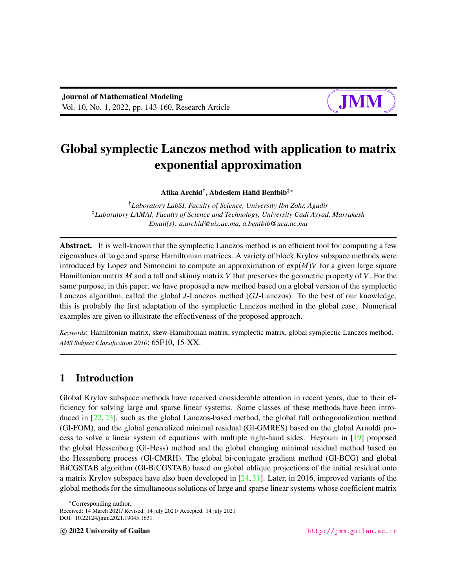# Global symplectic Lanczos method with application to matrix exponential approximation

Atika Archid†, Abdeslem Hafid Bentbib‡\*

†*Laboratory LabSI, Faculty of Science, University Ibn Zohr, Agadir* ‡*Laboratory LAMAI, Faculty of Science and Technology, University Cadi Ayyad, Marrakesh Email(s): a.archid@uiz.ac.ma, a.bentbib@uca.ac.ma*

Abstract. It is well-known that the symplectic Lanczos method is an efficient tool for computing a few eigenvalues of large and sparse Hamiltonian matrices. A variety of block Krylov subspace methods were introduced by Lopez and Simoncini to compute an approximation of  $exp(M)V$  for a given large square Hamiltonian matrix *M* and a tall and skinny matrix *V* that preserves the geometric property of *V*. For the same purpose, in this paper, we have proposed a new method based on a global version of the symplectic Lanczos algorithm, called the global *J*-Lanczos method (*GJ*-Lanczos). To the best of our knowledge, this is probably the first adaptation of the symplectic Lanczos method in the global case. Numerical examples are given to illustrate the effectiveness of the proposed approach.

*Keywords*: Hamiltonian matrix, skew-Hamiltonian matrix, symplectic matrix, global symplectic Lanczos method. *AMS Subject Classification 2010*: 65F10, 15-XX.

## 1 Introduction

Global Krylov subspace methods have received considerable attention in recent years, due to their efficiency for solving large and sparse linear systems. Some classes of these methods have been introduced in [\[22,](#page-16-0) [23\]](#page-16-1), such as the global Lanczos-based method, the global full orthogonalization method (Gl-FOM), and the global generalized minimal residual (Gl-GMRES) based on the global Arnoldi process to solve a linear system of equations with multiple right-hand sides. Heyouni in [\[19\]](#page-16-2) proposed the global Hessenberg (Gl-Hess) method and the global changing minimal residual method based on the Hessenberg process (Gl-CMRH). The global bi-conjugate gradient method (Gl-BCG) and global BiCGSTAB algorithm (Gl-BiCGSTAB) based on global oblique projections of the initial residual onto a matrix Krylov subspace have also been developed in  $[24, 31]$  $[24, 31]$  $[24, 31]$ . Later, in 2016, improved variants of the global methods for the simultaneous solutions of large and sparse linear systems whose coefficient matrix

<sup>∗</sup>Corresponding author.

Received: 14 March 2021/ Revised: 14 july 2021/ Accepted: 14 july 2021 DOI: 10.22124/jmm.2021.19045.1631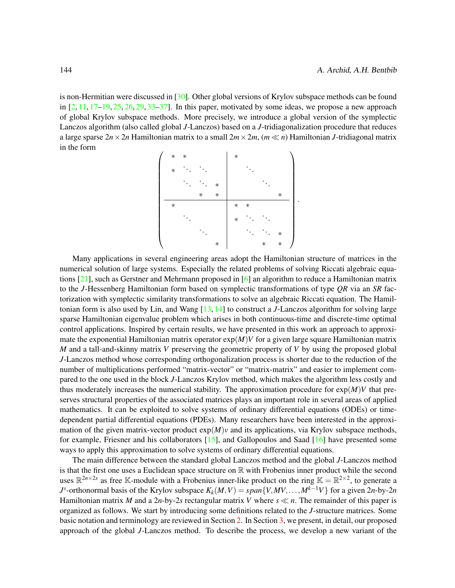is non-Hermitian were discussed in [\[30\]](#page-17-1). Other global versions of Krylov subspace methods can be found in  $[2, 11, 17-19, 25, 26, 29, 33-37]$  $[2, 11, 17-19, 25, 26, 29, 33-37]$  $[2, 11, 17-19, 25, 26, 29, 33-37]$  $[2, 11, 17-19, 25, 26, 29, 33-37]$  $[2, 11, 17-19, 25, 26, 29, 33-37]$  $[2, 11, 17-19, 25, 26, 29, 33-37]$  $[2, 11, 17-19, 25, 26, 29, 33-37]$  $[2, 11, 17-19, 25, 26, 29, 33-37]$  $[2, 11, 17-19, 25, 26, 29, 33-37]$  $[2, 11, 17-19, 25, 26, 29, 33-37]$  $[2, 11, 17-19, 25, 26, 29, 33-37]$  $[2, 11, 17-19, 25, 26, 29, 33-37]$  $[2, 11, 17-19, 25, 26, 29, 33-37]$  $[2, 11, 17-19, 25, 26, 29, 33-37]$ . In this paper, motivated by some ideas, we propose a new approach of global Krylov subspace methods. More precisely, we introduce a global version of the symplectic Lanczos algorithm (also called global *J*-Lanczos) based on a *J*-tridiagonalization procedure that reduces a large sparse  $2n \times 2n$  Hamiltonian matrix to a small  $2m \times 2m$ ,  $(m \ll n)$  Hamiltonian *J*-tridiagonal matrix in the form

| $\ast$ | $\ast$ |        |        | $\ast$ |        |        |        |  |
|--------|--------|--------|--------|--------|--------|--------|--------|--|
| $\ast$ |        |        |        |        |        |        |        |  |
|        |        |        | $\ast$ |        |        |        |        |  |
|        |        | $\ast$ | $\ast$ |        |        |        | $\ast$ |  |
| $\ast$ |        |        |        | $\ast$ | $\ast$ |        |        |  |
|        |        |        |        | $\ast$ |        |        |        |  |
|        |        |        |        |        |        |        | $\ast$ |  |
|        |        |        | $\ast$ |        |        | $\ast$ | $\ast$ |  |

.

Many applications in several engineering areas adopt the Hamiltonian structure of matrices in the numerical solution of large systems. Especially the related problems of solving Riccati algebraic equations [\[21\]](#page-16-7), such as Gerstner and Mehrmann proposed in [\[6\]](#page-15-2) an algorithm to reduce a Hamiltonian matrix to the *J*-Hessenberg Hamiltonian form based on symplectic transformations of type *QR* via an *SR* factorization with symplectic similarity transformations to solve an algebraic Riccati equation. The Hamiltonian form is also used by Lin, and Wang [\[13,](#page-16-8) [14\]](#page-16-9) to construct a *J*-Lanczos algorithm for solving large sparse Hamiltonian eigenvalue problem which arises in both continuous-time and discrete-time optimal control applications. Inspired by certain results, we have presented in this work an approach to approximate the exponential Hamiltonian matrix operator  $exp(M)V$  for a given large square Hamiltonian matrix *M* and a tall-and-skinny matrix *V* preserving the geometric property of *V* by using the proposed global *J*-Lanczos method whose corresponding orthogonalization process is shorter due to the reduction of the number of multiplications performed "matrix-vector" or "matrix-matrix" and easier to implement compared to the one used in the block *J*-Lanczos Krylov method, which makes the algorithm less costly and thus moderately increases the numerical stability. The approximation procedure for  $exp(M)V$  that preserves structural properties of the associated matrices plays an important role in several areas of applied mathematics. It can be exploited to solve systems of ordinary differential equations (ODEs) or timedependent partial differential equations (PDEs). Many researchers have been interested in the approximation of the given matrix-vector product  $exp(M)v$  and its applications, via Krylov subspace methods, for example, Friesner and his collaborators [\[15\]](#page-16-10), and Gallopoulos and Saad [\[16\]](#page-16-11) have presented some ways to apply this approximation to solve systems of ordinary differential equations.

The main difference between the standard global Lanczos method and the global *J*-Lanczos method is that the first one uses a Euclidean space structure on  $\mathbb R$  with Frobenius inner product while the second uses  $\mathbb{R}^{2n\times 2s}$  as free K-module with a Frobenius inner-like product on the ring  $\mathbb{K} = \mathbb{R}^{2\times 2}$ , to generate a *J*<sup>s</sup>-orthonormal basis of the Krylov subspace  $K_k(M, V) = span{V, MV, ..., M^{k-1}V}$  for a given 2*n*-by-2*n* Hamiltonian matrix *M* and a 2*n*-by-2*s* rectangular matrix *V* where  $s \ll n$ . The remainder of this paper is organized as follows. We start by introducing some definitions related to the *J*-structure matrices. Some basic notation and terminology are reviewed in Section [2.](#page-2-0) In Section [3,](#page-6-0) we present, in detail, our proposed approach of the global *J*-Lanczos method. To describe the process, we develop a new variant of the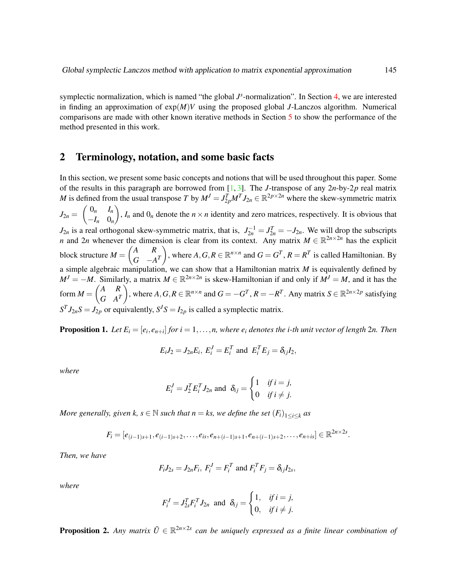symplectic normalization, which is named "the global  $J^s$ -normalization". In Section [4,](#page-10-0) we are interested in finding an approximation of exp(*M*)*V* using the proposed global *J*-Lanczos algorithm. Numerical comparisons are made with other known iterative methods in Section [5](#page-12-0) to show the performance of the method presented in this work.

### <span id="page-2-0"></span>2 Terminology, notation, and some basic facts

In this section, we present some basic concepts and notions that will be used throughout this paper. Some of the results in this paragraph are borrowed from [\[1,](#page-15-3) [3\]](#page-15-4). The *J*-transpose of any 2*n*-by-2*p* real matrix *M* is defined from the usual transpose *T* by  $M^J = J_{2p}^T M^T J_{2n} \in \mathbb{R}^{2p \times 2n}$  where the skew-symmetric matrix  $J_{2n} = \begin{pmatrix} 0_n & I_n \\ I & 0 \end{pmatrix}$  $-I_n$  0*n* ),  $I_n$  and  $0_n$  denote the  $n \times n$  identity and zero matrices, respectively. It is obvious that  $J_{2n}$  is a real orthogonal skew-symmetric matrix, that is,  $J_{2n}^{-1} = J_{2n}^T = -J_{2n}$ . We will drop the subscripts *n* and 2*n* whenever the dimension is clear from its context. Any matrix  $M \in \mathbb{R}^{2n \times 2n}$  has the explicit block structure  $M = \begin{pmatrix} A & R \\ C & A \end{pmatrix}$  $G \quad -A^T$ ), where  $A, G, R \in \mathbb{R}^{n \times n}$  and  $G = G^T$ ,  $R = R^T$  is called Hamiltonian. By a simple algebraic manipulation, we can show that a Hamiltonian matrix *M* is equivalently defined by  $M^{J} = -M$ . Similarly, a matrix  $M \in \mathbb{R}^{2n \times 2n}$  is skew-Hamiltonian if and only if  $M^{J} = M$ , and it has the form  $M = \begin{pmatrix} A & R \\ C & A \end{pmatrix}$  $G \quad A^T$ ), where  $A, G, R \in \mathbb{R}^{n \times n}$  and  $G = -G^T$ ,  $R = -R^T$ . Any matrix  $S \in \mathbb{R}^{2n \times 2p}$  satisfying  $S^T J_{2n} S = J_{2p}$  or equivalently,  $S^J S = I_{2p}$  is called a symplectic matrix.

**Proposition 1.** Let  $E_i = [e_i, e_{n+i}]$  for  $i = 1, \ldots, n$ , where  $e_i$  denotes the *i*-th unit vector of length 2n. Then

$$
E_i J_2 = J_{2n} E_i, E_i^J = E_i^T \text{ and } E_i^T E_j = \delta_{ij} I_2,
$$

*where*

$$
E_i^J = J_2^T E_i^T J_{2n} \text{ and } \delta_{ij} = \begin{cases} 1 & \text{if } i = j, \\ 0 & \text{if } i \neq j. \end{cases}
$$

*More generally, given k, s*  $\in$  *N such that n* = *ks, we define the set*  $(F_i)_{1 \leq i \leq k}$  *as* 

$$
F_i = [e_{(i-1)s+1}, e_{(i-1)s+2}, \ldots, e_{is}, e_{n+(i-1)s+1}, e_{n+(i-1)s+2}, \ldots, e_{n+is}] \in \mathbb{R}^{2n \times 2s}.
$$

*Then, we have*

$$
F_iJ_{2s}=J_{2n}F_i, F_i^J=F_i^T \text{ and } F_i^T F_j=\delta_{ij}I_{2s},
$$

*where*

$$
F_i^J = J_{2s}^T F_i^T J_{2n} \text{ and } \delta_{ij} = \begin{cases} 1, & \text{if } i = j, \\ 0, & \text{if } i \neq j. \end{cases}
$$

**Proposition 2.** Any matrix  $\tilde{U} \in \mathbb{R}^{2n \times 2s}$  can be uniquely expressed as a finite linear combination of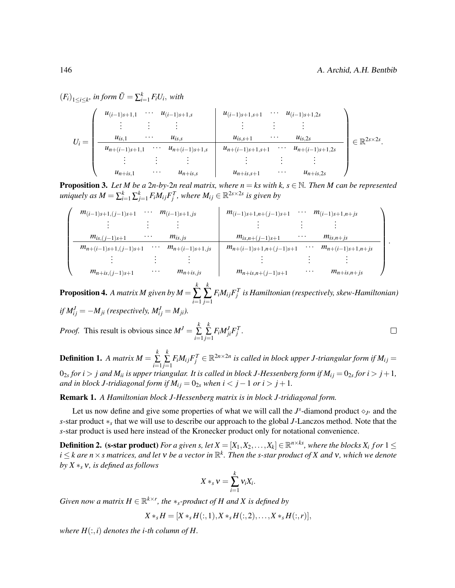$(F_i)_{1 \leq i \leq k}$ , in form  $\tilde{U} = \sum_{i=1}^k F_i U_i$ , with

|         | $u_{(i-1)s+1,1}$ $u_{(i-1)s+1,s}$ |          |                             | $u_{(i-1)s+1,s+1}$   |          | $\cdots$ $u_{(i-1)s+1,2s}$   |                                   |
|---------|-----------------------------------|----------|-----------------------------|----------------------|----------|------------------------------|-----------------------------------|
|         |                                   |          |                             |                      |          |                              |                                   |
| $U_i =$ | $u_{is,1}$                        | $\cdots$ | $u_{is,s}$                  | $u_{is,s+1}$         | $\cdots$ | $u_{is,2s}$                  | $\in \mathbb{R}^{2s \times 2s}$ . |
|         | $u_{n+(i-1)s+1,1}$                |          | $\cdots$ $u_{n+(i-1)s+1,s}$ | $u_{n+(i-1)s+1,s+1}$ |          | $\cdots$ $u_{n+(i-1)s+1,2s}$ |                                   |
|         |                                   |          |                             |                      |          |                              |                                   |
|         | $u_{n+is,1}$                      | $\cdots$ | $u_{n+is,s}$                | $u_{n+is,s+1}$       | $\cdots$ | $u_{n+is,2s}$                |                                   |

**Proposition 3.** Let M be a 2n-by-2n real matrix, where  $n = ks$  with  $k, s \in \mathbb{N}$ . Then M can be represented  $i$ *uniquely as*  $M = \sum_{i=1}^{k} \sum_{j=1}^{k} F_{i}M_{ij}F_{j}^{T}$ *, where*  $M_{ij} \in \mathbb{R}^{2s \times 2s}$  *is given by* 

| $m_{(i-1)s+1,(j-1)s+1}$   | $\cdots$ | $m_{(i-1)s+1,js}$   | $m_{(i-1)s+1,n+(j-1)s+1}$   | $\cdots$ | $m_{(i-1)s+1,n+js}$   |  |
|---------------------------|----------|---------------------|-----------------------------|----------|-----------------------|--|
|                           |          |                     |                             |          |                       |  |
| $m_{is,(j-1)s+1}$         | $\cdots$ | $m_{is,js}$         | $m_{is,n+(j-1)s+1}$         | $\cdots$ | $m_{is,n+js}$         |  |
| $m_{n+(i-1)s+1,(j-1)s+1}$ | $\cdots$ | $m_{n+(i-1)s+1,js}$ | $m_{n+(i-1)s+1,n+(j-1)s+1}$ | $\cdots$ | $m_{n+(i-1)s+1,n+js}$ |  |
|                           |          |                     |                             |          |                       |  |
| $m_{n+is,(j-1)s+1}$       | $\cdots$ | $m_{n+is,js}$       | $m_{n+is,n+(j-1)s+1}$       | $\cdots$ | $m_{n+is,n+js}$       |  |

**Proposition 4.** A matrix M given by  $M =$ *k* ∑ *i*=1 *k* ∑ *j*=1  $F_{i}M_{ij}F_{j}^{T}$  is Hamiltonian (respectively, skew-Hamiltonian)  $if M_{ij}^J = -M_{ji}$  (respectively,  $M_{ij}^J = M_{ji}$ ).

*Proof.* This result is obvious since  $M^{J} = \sum_{k=1}^{k} M^{J}$ *k*  $\sum_{j=1}^{\infty} F_i M_{ji}^J F_j^T$ .  $\Box$  $\sum_{i=1}$ 

**Definition 1.** A matrix  $M = \sum_{k=1}^{k}$ ∑ *i*=1 *k*  $\sum_{j=1}^{\infty} F_i M_{ij} F_j^T \in \mathbb{R}^{2n \times 2n}$  is called in block upper J-triangular form if  $M_{ij} =$  $0_{2s}$  for  $i > j$  and  $M_{ii}$  is upper triangular. It is called in block J-Hessenberg form if  $M_{ij} = 0_{2s}$  for  $i > j + 1$ , *and in block J-tridiagonal form if*  $M_{ij} = 0_{2s}$  *when i* < *j* − 1 *or i* > *j* + 1*.* 

Remark 1. *A Hamiltonian block J-Hessenberg matrix is in block J-tridiagonal form.*

Let us now define and give some properties of what we will call the  $J^s$ -diamond product  $\diamond_{J^s}$  and the *s*-star product ∗<sub>*s*</sub> that we will use to describe our approach to the global *J*-Lanczos method. Note that the *s*-star product is used here instead of the Kronecker product only for notational convenience.

**Definition 2.** (s-star product) For a given s, let  $X = [X_1, X_2, \ldots, X_k] \in \mathbb{R}^{n \times ks}$ , where the blocks  $X_i$  for  $1 \leq i \leq k$  $i \leq k$  are  $n \times s$  matrices, and let  $v$  be a vector in  $\mathbb{R}^k$ . Then the s-star product of  $X$  and  $v$ , which we denote *by X* ∗*<sup>s</sup>* ν*, is defined as follows*

$$
X *_s v = \sum_{i=1}^k v_i X_i.
$$

*Given now a matrix*  $H \in \mathbb{R}^{k \times r}$ , the  $*_s$ -product of H and X is defined by

$$
X *_{s} H = [X *_{s} H(:,1), X *_{s} H(:,2), \ldots, X *_{s} H(:,r)],
$$

*where*  $H(:,i)$  *denotes the i-th column of H.*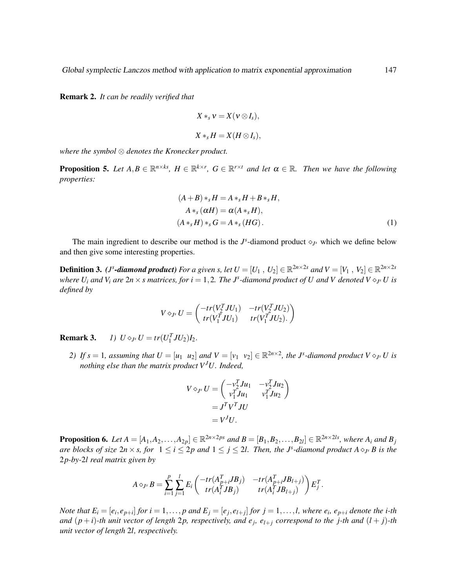Remark 2. *It can be readily verified that*

$$
X *_s v = X(v \otimes I_s),
$$
  

$$
X *_s H = X(H \otimes I_s),
$$

*where the symbol* ⊗ *denotes the Kronecker product.*

**Proposition 5.** Let  $A, B \in \mathbb{R}^{n \times k_s}$ ,  $H \in \mathbb{R}^{k \times r}$ ,  $G \in \mathbb{R}^{r \times t}$  and let  $\alpha \in \mathbb{R}$ . Then we have the following *properties:*

<span id="page-4-0"></span>
$$
(A + B) *_{s} H = A *_{s} H + B *_{s} H,
$$
  
\n
$$
A *_{s} (\alpha H) = \alpha (A *_{s} H),
$$
  
\n
$$
(A *_{s} H) *_{s} G = A *_{s} (HG).
$$
\n(1)

The main ingredient to describe our method is the  $J^s$ -diamond product  $\diamond_{J^s}$  which we define below and then give some interesting properties.

**Definition 3.** (*J*<sup>s</sup>-diamond product) For a given s, let  $U = [U_1, U_2] \in \mathbb{R}^{2n \times 2s}$  and  $V = [V_1, V_2] \in \mathbb{R}^{2n \times 2s}$ *where*  $U_i$  *and*  $V_i$  *are*  $2n \times s$  *matrices, for*  $i = 1, 2$ . *The*  $J^s$ -diamond product of U and V denoted  $V \diamond_{J^s} U$  is *defined by*

$$
V \diamond_{J^s} U = \begin{pmatrix} -tr(V_2^T J U_1) & -tr(V_2^T J U_2) \\ tr(V_1^T J U_1) & tr(V_1^T J U_2). \end{pmatrix}
$$

**Remark 3.** *1*)  $U \diamond_{J^s} U = tr(U_1^T J U_2) I_2$ .

*2) If*  $s = 1$ *, assuming that*  $U = [u_1 \ u_2]$  *and*  $V = [v_1 \ v_2] \in \mathbb{R}^{2n \times 2}$ *, the J<sup>s</sup>-diamond product*  $V \diamond_{J^s} U$  *is nothing else than the matrix product VJU. Indeed,*

$$
V \diamond_{J^s} U = \begin{pmatrix} -v_2^T J u_1 & -v_2^T J u_2 \\ v_1^T J u_1 & v_1^T J u_2 \end{pmatrix}
$$
  
=  $J^T V^T J U$   
=  $V^J U$ .

**Proposition 6.** Let  $A = [A_1, A_2, \ldots, A_{2p}] \in \mathbb{R}^{2n \times 2ps}$  and  $B = [B_1, B_2, \ldots, B_{2l}] \in \mathbb{R}^{2n \times 2ls}$ , where  $A_i$  and  $B_j$ *are blocks of size*  $2n \times s$ , *for*  $1 \le i \le 2p$  *and*  $1 \le j \le 2l$ . Then, the *J*<sup>s</sup>-diamond product  $A \diamond_{J^s} B$  is the 2*p-by-*2*l real matrix given by*

$$
A \diamond_{J^s} B = \sum_{i=1}^p \sum_{j=1}^l E_i \begin{pmatrix} -tr(A_{p+i}^T J B_j) & -tr(A_{p+i}^T J B_{l+j}) \\ tr(A_i^T J B_j) & tr(A_i^T J B_{l+j}) \end{pmatrix} E_j^T.
$$

Note that  $E_i = [e_i, e_{p+i}]$  for  $i = 1, ..., p$  and  $E_j = [e_j, e_{l+j}]$  for  $j = 1, ..., l$ , where  $e_i$ ,  $e_{p+i}$  denote the i-th *and*  $(p+i)$ -th unit vector of length 2p, respectively, and  $e_j$ ,  $e_{l+j}$  correspond to the j-th and  $(l+j)$ -th *unit vector of length* 2*l, respectively.*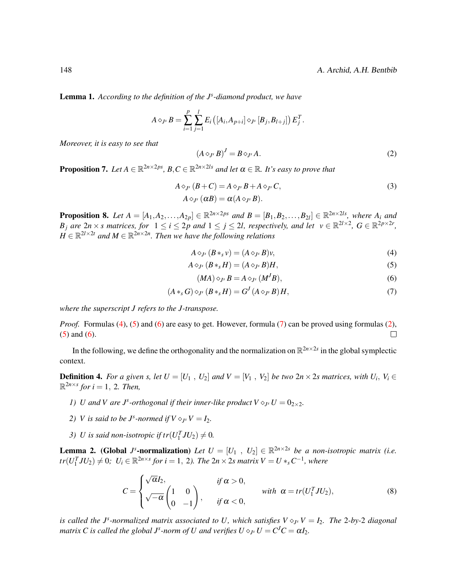Lemma 1. *According to the definition of the J<sup>s</sup> -diamond product, we have*

$$
A \diamond_{J^s} B = \sum_{i=1}^p \sum_{j=1}^l E_i \left( [A_i, A_{p+i}] \diamond_{J^s} [B_j, B_{l+j}] \right) E_j^T.
$$

*Moreover, it is easy to see that*

<span id="page-5-5"></span><span id="page-5-4"></span>
$$
(A \diamond_{J^s} B)^J = B \diamond_{J^s} A. \tag{2}
$$

**Proposition 7.** Let  $A \in \mathbb{R}^{2n \times 2ps}$ ,  $B, C \in \mathbb{R}^{2n \times 2ls}$  and let  $\alpha \in \mathbb{R}$ . It's easy to prove that

$$
A \diamond_{J^s} (B + C) = A \diamond_{J^s} B + A \diamond_{J^s} C,
$$
  
\n
$$
A \diamond_{J^s} (\alpha B) = \alpha (A \diamond_{J^s} B).
$$
\n(3)

**Proposition 8.** Let  $A = [A_1, A_2, \ldots, A_{2p}] \in \mathbb{R}^{2n \times 2ps}$  and  $B = [B_1, B_2, \ldots, B_{2l}] \in \mathbb{R}^{2n \times 2ls}$ , where  $A_i$  and *B*<sub>*j*</sub> are  $2n \times s$  matrices, for  $1 \le i \le 2p$  and  $1 \le j \le 2l$ , respectively, and let  $v \in \mathbb{R}^{2l \times 2}$ ,  $G \in \mathbb{R}^{2p \times 2r}$ ,  $H \in \mathbb{R}^{2l \times 2t}$  and  $M \in \mathbb{R}^{2n \times 2n}$ . Then we have the following relations

$$
A \diamond_{J^s} (B *_s v) = (A \diamond_{J^s} B)v,
$$
\n(4)

$$
A \diamond_{J^s} (B *_s H) = (A \diamond_{J^s} B)H, \tag{5}
$$

<span id="page-5-3"></span><span id="page-5-2"></span><span id="page-5-1"></span><span id="page-5-0"></span>
$$
(MA)\diamond_{J^s} B = A\diamond_{J^s} (M^J B),\tag{6}
$$

$$
(A *_{s} G) \diamond_{J^{s}} (B *_{s} H) = G^{J} (A \diamond_{J^{s}} B) H,
$$
\n<sup>(7)</sup>

*where the superscript J refers to the J-transpose.*

*Proof.* Formulas [\(4\)](#page-5-0), [\(5\)](#page-5-1) and [\(6\)](#page-5-2) are easy to get. However, formula [\(7\)](#page-5-3) can be proved using formulas [\(2\)](#page-5-4), [\(5\)](#page-5-1) and [\(6\)](#page-5-2).  $\Box$ 

In the following, we define the orthogonality and the normalization on  $\mathbb{R}^{2n \times 2s}$  in the global symplectic context.

**Definition 4.** For a given s, let  $U = [U_1, U_2]$  and  $V = [V_1, V_2]$  be two  $2n \times 2s$  matrices, with  $U_i, V_i \in$  $\mathbb{R}^{2n \times s}$  for  $i = 1, 2$ *. Then,* 

- *1) U* and *V* are *J*<sup>*s*</sup>-orthogonal if their inner-like product  $V \circ_{J^s} U = 0_{2 \times 2}$ .
- 2) *V* is said to be  $J^s$ -normed if  $V \diamond_{J^s} V = I_2$ .
- *3) U* is said non-isotropic if  $tr(U_1^T J U_2) \neq 0$ .

<span id="page-5-6"></span>**Lemma 2.** (Global *J*<sup>s</sup>-normalization) *Let*  $U = [U_1, U_2] \in \mathbb{R}^{2n \times 2s}$  *be a non-isotropic matrix (i.e.*  $tr(U_1^T J U_2) \neq 0$ ;  $U_i \in \mathbb{R}^{2n \times s}$  for  $i = 1, 2$ ). The  $2n \times 2s$  matrix  $V = U *_{s} C^{-1}$ , where

$$
C = \begin{cases} \sqrt{\alpha}I_2, & \text{if } \alpha > 0, \\ \sqrt{-\alpha}\begin{pmatrix} 1 & 0 \\ 0 & -1 \end{pmatrix}, & \text{if } \alpha < 0, \end{cases} \quad \text{with } \alpha = tr(U_1^T J U_2), \tag{8}
$$

*is called the J<sup>s</sup>-normalized matrix associated to U, which satisfies*  $V \otimes_{J^s} V = I_2$ *. The 2-by-2 diagonal matrix C is called the global*  $J^s$ *-norm of*  $U$  *and verifies*  $U \diamond_{J^s} U = C^J C = \alpha I_2$ *.*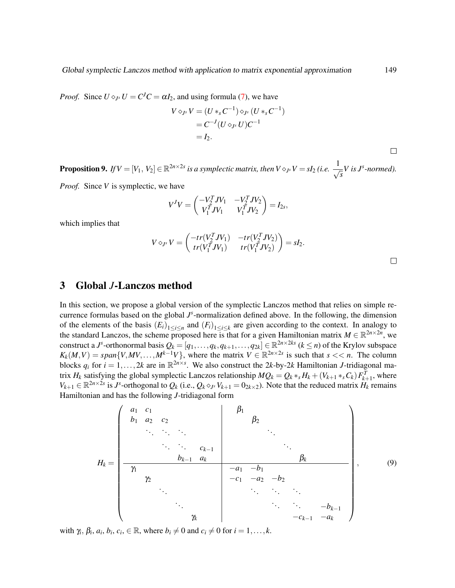*Proof.* Since  $U \diamond_{J^s} U = C^J C = \alpha I_2$ , and using formula [\(7\)](#page-5-3), we have

$$
V \diamond_{J^s} V = (U *_{s} C^{-1}) \diamond_{J^s} (U *_{s} C^{-1})
$$
  
=  $C^{-J} (U \diamond_{J^s} U) C^{-1}$   
=  $I_2$ .

**Proposition 9.** If  $V = [V_1, V_2] \in \mathbb{R}^{2n \times 2s}$  is a symplectic matrix, then  $V \diamond_{J^s} V = sI_2$  (i.e.  $\frac{1}{\sqrt{2\pi}}$ *s V is J<sup>s</sup> -normed).*

*Proof.* Since *V* is symplectic, we have

$$
V^{J}V = \begin{pmatrix} -V_{2}^{T}JV_{1} & -V_{2}^{T}JV_{2} \\ V_{1}^{T}JV_{1} & V_{1}^{T}JV_{2} \end{pmatrix} = I_{2s},
$$

which implies that

$$
V \diamond_{J^s} V = \begin{pmatrix} -tr(V_2^T J V_1) & -tr(V_2^T J V_2) \\ tr(V_1^T J V_1) & tr(V_1^T J V_2) \end{pmatrix} = sI_2.
$$

## <span id="page-6-0"></span>3 Global *J*-Lanczos method

In this section, we propose a global version of the symplectic Lanczos method that relies on simple recurrence formulas based on the global  $J^s$ -normalization defined above. In the following, the dimension of the elements of the basis  $(E_i)_{1 \leq i \leq n}$  and  $(F_i)_{1 \leq i \leq k}$  are given according to the context. In analogy to the standard Lanczos, the scheme proposed here is that for a given Hamiltonian matrix  $M \in \mathbb{R}^{2n \times 2n}$ , we construct a *J*<sup>*s*</sup>-orthonormal basis  $Q_k = [q_1, \ldots, q_k, q_{k+1}, \ldots, q_{2k}] \in \mathbb{R}^{2n \times 2ks}$  ( $k \le n$ ) of the Krylov subspace  $K_k(M, V) = span{V, MV, ..., M^{k-1}V}$ , where the matrix  $V \in \mathbb{R}^{2n \times 2s}$  is such that  $s \ll n$ . The column blocks  $q_i$  for  $i = 1, ..., 2k$  are in  $\mathbb{R}^{2n \times s}$ . We also construct the 2*k*-by-2*k* Hamiltonian *J*-tridiagonal matrix  $H_k$  satisfying the global symplectic Lanczos relationship  $MQ_k = Q_k *_s H_k + (V_{k+1} *_s C_k) F_{k+1}^T$ , where  $V_{k+1} \in \mathbb{R}^{2n \times 2s}$  is J<sup>s</sup>-orthogonal to  $Q_k$  (i.e.,  $Q_k \circ_{J^s} V_{k+1} = 0_{2k \times 2}$ ). Note that the reduced matrix  $H_k$  remains Hamiltonian and has the following *J*-tridiagonal form

*H<sup>k</sup>* = *a*<sup>1</sup> *c*<sup>1</sup> *b*<sup>1</sup> *a*<sup>2</sup> *c*<sup>2</sup> . . . . . . . . . . . . . . . *ck*−<sup>1</sup> *bk*−<sup>1</sup> *a<sup>k</sup>* β1 β2 . . . . . . β*k* γ1 γ2 . . . . . . γ*k* −*a*<sup>1</sup> −*b*<sup>1</sup> −*c*<sup>1</sup> −*a*<sup>2</sup> −*b*<sup>2</sup> . . . . . . . . . . . . . . . −*bk*−<sup>1</sup> −*ck*−<sup>1</sup> −*a<sup>k</sup>* , (9)

with  $\gamma_i$ ,  $\beta_i$ ,  $a_i$ ,  $b_i$ ,  $c_i$ ,  $\in \mathbb{R}$ , where  $b_i \neq 0$  and  $c_i \neq 0$  for  $i = 1, ..., k$ .

 $\Box$ 

 $\Box$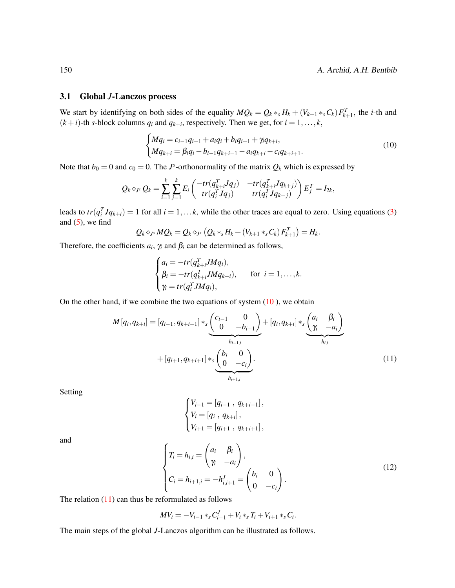#### 3.1 Global *J*-Lanczos process

We start by identifying on both sides of the equality  $MQ_k = Q_k *_{s} H_k + (V_{k+1} *_{s} C_k) F_{k+1}^T$ , the *i*-th and  $(k+i)$ -th *s*-block columns  $q_i$  and  $q_{k+i}$ , respectively. Then we get, for  $i = 1, ..., k$ ,

<span id="page-7-0"></span>
$$
\begin{cases}\nMq_i = c_{i-1}q_{i-1} + a_iq_i + b_iq_{i+1} + \gamma_iq_{k+i}, \\
Mq_{k+i} = \beta_iq_i - b_{i-1}q_{k+i-1} - a_iq_{k+i} - c_iq_{k+i+1}.\n\end{cases} (10)
$$

Note that  $b_0 = 0$  and  $c_0 = 0$ . The *J*<sup>s</sup>-orthonormality of the matrix  $Q_k$  which is expressed by

$$
Q_k \diamond_{J^s} Q_k = \sum_{i=1}^k \sum_{j=1}^k E_i \begin{pmatrix} -tr(q_{k+i}^T J q_j) & -tr(q_{k+i}^T J q_{k+j}) \\ tr(q_i^T J q_j) & tr(q_i^T J q_{k+j}) \end{pmatrix} E_j^T = I_{2k},
$$

leads to  $tr(q_i^T Jq_{k+i}) = 1$  for all  $i = 1,...k$ , while the other traces are equal to zero. Using equations [\(3\)](#page-5-5) and  $(5)$ , we find

$$
Q_k \diamond_{J^s} MQ_k = Q_k \diamond_{J^s} (Q_k *_s H_k + (V_{k+1} *_s C_k) F_{k+1}^T) = H_k.
$$

Therefore, the coefficients  $a_i$ ,  $\gamma_i$  and  $\beta_i$  can be determined as follows,

$$
\begin{cases}\na_i = -tr(q_{k+i}^T J M q_i), \\
\beta_i = -tr(q_{k+i}^T J M q_{k+i}), & \text{for } i = 1, \dots, k. \\
\gamma_i = tr(q_i^T J M q_i), & \text{otherwise}\n\end{cases}
$$

On the other hand, if we combine the two equations of system  $(10)$  $(10)$ , we obtain

$$
M[q_i, q_{k+i}] = [q_{i-1}, q_{k+i-1}] *_{s} \underbrace{\binom{c_{i-1}}{0} \underbrace{-b_{i-1}}_{h_{i-1,i}}}_{h_{i-1,i}} + [q_i, q_{k+i}] *_{s} \underbrace{\binom{a_i}{\gamma_i} \underbrace{-a_i}_{h_{i,i}}}_{h_{i,i}} + [q_{i+1}, q_{k+i+1}] *_{s} \underbrace{\binom{b_i}{0} \underbrace{-c_i}_{h_{i+1,i}}}. \tag{11}
$$

Setting

<span id="page-7-1"></span>
$$
\begin{cases} V_{i-1} = [q_{i-1}, q_{k+i-1}], \\ V_i = [q_i, q_{k+i}], \\ V_{i+1} = [q_{i+1}, q_{k+i+1}], \end{cases}
$$

and

$$
\begin{cases}\nT_i = h_{i,i} = \begin{pmatrix} a_i & \beta_i \\ \gamma_i & -a_i \end{pmatrix}, \\
C_i = h_{i+1,i} = -h_{i,i+1}^J = \begin{pmatrix} b_i & 0 \\ 0 & -c_i \end{pmatrix}.\n\end{cases}\n\tag{12}
$$

The relation  $(11)$  can thus be reformulated as follows

$$
MV_i = -V_{i-1} *_{s} C_{i-1}^{J} + V_i *_{s} T_i + V_{i+1} *_{s} C_i.
$$

The main steps of the global *J*-Lanczos algorithm can be illustrated as follows.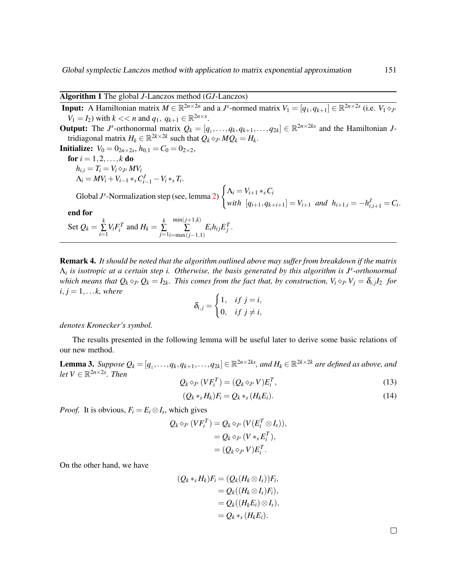### <span id="page-8-0"></span>Algorithm 1 The global *J*-Lanczos method (*GJ*-Lanczos)

**Input:** A Hamiltonian matrix  $M \in \mathbb{R}^{2n \times 2n}$  and a *J*<sup>*s*</sup>-normed matrix  $V_1 = [q_1, q_{k+1}] \in \mathbb{R}^{2n \times 2s}$  (i.e.  $V_1 \diamond_{J^s}$ *V*<sub>1</sub> = *I*<sub>2</sub>) with *k* << *n* and *q*<sub>1</sub>, *q*<sub>*k*+1</sub>  $\in \mathbb{R}^{2n \times s}$ . **Output:** The *J*<sup>s</sup>-orthonormal matrix  $Q_k = [q_1, \ldots, q_k, q_{k+1}, \ldots, q_{2k}] \in \mathbb{R}^{2n \times 2ks}$  and the Hamiltonian *J*tridiagonal matrix  $H_k \in \mathbb{R}^{2k \times 2k}$  such that  $\overline{Q_k} \diamond_{J^s} M \overline{Q_k} = H_k$ . **Initialize:**  $V_0 = 0_{2n \times 2s}$ ,  $h_{0,1} = C_0 = 0_{2 \times 2}$ , **for**  $i = 1, 2, ..., k$  **do**  $h_{i,i} = T_i = V_i \diamond_{J^s} MV_i$  $\Lambda_i = MV_i + V_{i-1} *_{s} C^{J}_{i-1} - V_i *_{s} T_i.$ Global  $J^s$ -Normalization step (see, lemma [2\)](#page-5-6)  $\int \Lambda_i = V_{i+1} *_{s} C_i$ *with*  $[q_{i+1}, q_{k+i+1}] = V_{i+1}$  *and*  $h_{i+1,i} = -h_{i,i+1}^J = C_i$ . end for Set  $Q_k = \sum_{k=1}^{k}$  $\sum_{i=1}^k V_i F_i^T$  and  $H_k = \sum_{j=1}^k$ ∑ *j*=1 min(*j*+1,*k*) ∑ *i*=max(*j*−1,1)  $E_i h_{ij} E_j^T$ .

Remark 4. *It should be noted that the algorithm outlined above may suffer from breakdown if the matrix* Λ*i is isotropic at a certain step i. Otherwise, the basis generated by this algorithm is J<sup>s</sup> -orthonormal* which means that  $Q_k \diamond_{J^s} Q_k = I_{2k}$ . This comes from the fact that, by construction,  $V_i \diamond_{J^s} V_j = \delta_{i,j} I_2$  for  $i, j = 1, \ldots k$ , where

$$
\delta_{i,j} = \begin{cases} 1, & if j = i, \\ 0, & if j \neq i, \end{cases}
$$

#### *denotes Kronecker's symbol.*

The results presented in the following lemma will be useful later to derive some basic relations of our new method.

<span id="page-8-2"></span>Lemma 3. Suppose  $Q_k = [q_1, \ldots, q_k, q_{k+1}, \ldots, q_{2k}] \in \mathbb{R}^{2n \times 2ks}$ , and  $H_k \in \mathbb{R}^{2k \times 2k}$  are defined as above, and  $let V \in \mathbb{R}^{2n \times 2s}$ *. Then* 

<span id="page-8-1"></span>
$$
Q_k \diamond_{J^s} (V F_i^T) = (Q_k \diamond_{J^s} V) E_i^T,
$$
\n
$$
(Q_k \cdot H_k) F_k = Q_k \cdot (H_k F_k)
$$
\n
$$
(1.1)
$$

<span id="page-8-3"></span>
$$
(Q_k *_s H_k)F_i = Q_k *_s (H_k E_i). \tag{14}
$$

*Proof.* It is obvious,  $F_i = E_i \otimes I_s$ , which gives

$$
Q_k \diamond_{J^s} (V F_i^T) = Q_k \diamond_{J^s} (V (E_i^T \otimes I_s)),
$$
  
=  $Q_k \diamond_{J^s} (V *_s E_i^T),$   
=  $(Q_k \diamond_{J^s} V) E_i^T.$ 

On the other hand, we have

$$
(Q_k *_s H_k)F_i = (Q_k(H_k \otimes I_s))F_i,
$$
  
= Q\_k((H\_k \otimes I\_s)F\_i),  
= Q\_k((H\_k E\_i) \otimes I\_s),  
= Q\_k \*\_s (H\_k E\_i).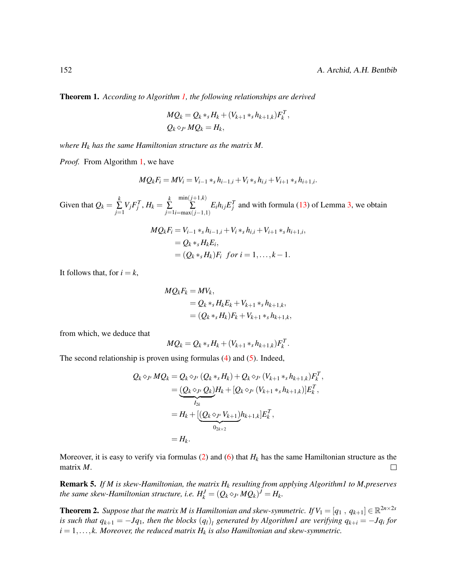<span id="page-9-0"></span>Theorem 1. *According to Algorithm [1,](#page-8-0) the following relationships are derived*

$$
MQ_k = Q_k *_s H_k + (V_{k+1} *_s h_{k+1,k})F_k^T,
$$
  

$$
Q_k \diamond_{J^s} MQ_k = H_k,
$$

*where H<sup>k</sup> has the same Hamiltonian structure as the matrix M.*

*Proof.* From Algorithm [1,](#page-8-0) we have

$$
MQ_kF_i = MV_i = V_{i-1} *_{s} h_{i-1,i} + V_i *_{s} h_{i,i} + V_{i+1} *_{s} h_{i+1,i}.
$$

Given that  $Q_k = \sum_{k=1}^{k}$  $\sum\limits_{j=1}^k V_j F_j^T, H_k = \sum\limits_{j=1}^k$ ∑ *j*=1 min(*j*+1,*k*) ∑ *i*=max(*j*−1,1)  $E_i h_{ij} E_j^T$  and with formula [\(13\)](#page-8-1) of Lemma [3,](#page-8-2) we obtain

$$
MQ_k F_i = V_{i-1} *_{s} h_{i-1,i} + V_i *_{s} h_{i,i} + V_{i+1} *_{s} h_{i+1,i},
$$
  
=  $Q_k *_{s} H_k E_i,$   
=  $(Q_k *_{s} H_k) F_i$  for  $i = 1, ..., k - 1$ .

It follows that, for  $i = k$ ,

$$
MQ_k F_k = MV_k,
$$
  
=  $Q_k *_{s} H_k E_k + V_{k+1} *_{s} h_{k+1,k},$   
=  $(Q_k *_{s} H_k) F_k + V_{k+1} *_{s} h_{k+1,k},$ 

from which, we deduce that

$$
MQ_k = Q_k *_s H_k + (V_{k+1} *_s h_{k+1,k}) F_k^T.
$$

The second relationship is proven using formulas [\(4\)](#page-5-0) and [\(5\)](#page-5-1). Indeed,

$$
Q_k \diamond_{J^s} MQ_k = Q_k \diamond_{J^s} (Q_k *_s H_k) + Q_k \diamond_{J^s} (V_{k+1} *_s h_{k+1,k}) F_k^T,
$$
  
= 
$$
\underbrace{(Q_k \diamond_{J^s} Q_k)}_{I_{2k}} H_k + [Q_k \diamond_{J^s} (V_{k+1} *_s h_{k+1,k})] E_k^T,
$$
  
= 
$$
H_k + [\underbrace{(Q_k \diamond_{J^s} V_{k+1})}_{0_{2k \times 2}} h_{k+1,k}] E_k^T,
$$
  
= 
$$
H_k.
$$

Moreover, it is easy to verify via formulas [\(2\)](#page-5-4) and [\(6\)](#page-5-2) that  $H_k$  has the same Hamiltonian structure as the  $\Box$ matrix *M*.

Remark 5. *If M is skew-Hamiltonian, the matrix H<sup>k</sup> resulting from applying Algorithm1 to M,preserves the same skew-Hamiltonian structure, i.e.*  $H_k^J = (Q_k \diamond_{J^s} M Q_k)^J = H_k$ .

<span id="page-9-1"></span>**Theorem 2.** Suppose that the matrix M is Hamiltonian and skew-symmetric. If  $V_1 = [q_1, q_{k+1}] \in \mathbb{R}^{2n \times 2s}$ *is such that*  $q_{k+1} = -Jq_1$ *, then the blocks*  $(q_l)_l$  generated by Algorithm1 are verifying  $q_{k+i} = -Jq_i$  for  $i = 1, \ldots, k$ . Moreover, the reduced matrix  $H_k$  *is also Hamiltonian and skew-symmetric.*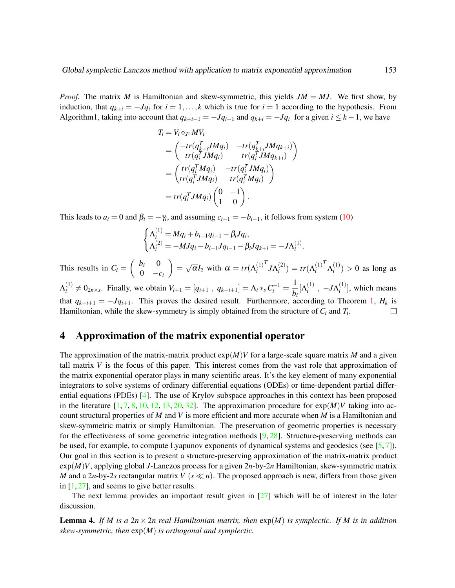*Proof.* The matrix *M* is Hamiltonian and skew-symmetric, this yields *JM* = *MJ*. We first show, by induction, that  $q_{k+i} = -Jq_i$  for  $i = 1, \ldots, k$  which is true for  $i = 1$  according to the hypothesis. From Algorithm1, taking into account that  $q_{k+i-1} = -Jq_{i-1}$  and  $q_{k+i} = -Jq_i$  for a given  $i \leq k-1$ , we have

$$
T_i = V_i \diamond_{J^s} MV_i
$$
  
= 
$$
\begin{pmatrix} -tr(q_{k+i}^TJMq_i) & -tr(q_{k+i}^TJMq_{k+i}) \\ tr(q_i^TJMq_i) & tr(q_i^TJMq_{k+i}) \end{pmatrix}
$$
  
= 
$$
\begin{pmatrix} tr(q_i^TMq_i) & -tr(q_i^TJMq_i) \\ tr(q_i^TJMq_i) & tr(q_i^TMq_i) \end{pmatrix}
$$
  
= 
$$
tr(q_i^TJMq_i) \begin{pmatrix} 0 & -1 \\ 1 & 0 \end{pmatrix}.
$$

This leads to  $a_i = 0$  and  $\beta_i = -\gamma_i$ , and assuming  $c_{i-1} = -b_{i-1}$ , it follows from system [\(10\)](#page-7-0)

$$
\begin{cases}\n\Lambda_i^{(1)} = Mq_i + b_{i-1}q_{i-1} - \beta_i Jq_i, \\
\Lambda_i^{(2)} = -MJq_i - b_{i-1}Jq_{i-1} - \beta_i Jq_{k+i} = -J\Lambda_i^{(1)}.\n\end{cases}
$$

√ This results in  $C_i = \begin{pmatrix} b_i & 0 \\ 0 & 0 \end{pmatrix}$  $=$  $\int^T J \Lambda_i^{(2)}$ <sup>*T*</sup>  $Λ_i^{(1)}$  $\overline{\alpha}I_2$  with  $\alpha = tr(\Lambda_i^{(1)})$  $i^{(2)}$ <sub>*i*</sub> = *tr*( $\Lambda_i^{(1)}$  $\binom{1}{i}$  > 0 as long as *i i*  $0 \quad -c_i$  $V_i^{(1)} \neq 0_{2n \times s}$ . Finally, we obtain  $V_{i+1} = [q_{i+1}, q_{k+i+1}] = \Lambda_i *_{s} C_i^{-1} = \frac{1}{b}$  $\Lambda_i^{(1)}$  $\frac{1}{b_i}[\Lambda_i^{(1)}]$  $\frac{(1)}{i}$  ,  $-J\Lambda_i^{(1)}$  $\binom{1}{i}$ , which means that  $q_{k+i+1} = -Jq_{i+1}$ . This proves the desired result. Furthermore, according to Theorem [1,](#page-9-0)  $H_k$  is Hamiltonian, while the skew-symmetry is simply obtained from the structure of *C<sup>i</sup>* and *T<sup>i</sup>* .  $\Box$ 

## <span id="page-10-0"></span>4 Approximation of the matrix exponential operator

The approximation of the matrix-matrix product  $exp(M)V$  for a large-scale square matrix *M* and a given tall matrix *V* is the focus of this paper. This interest comes from the vast role that approximation of the matrix exponential operator plays in many scientific areas. It's the key element of many exponential integrators to solve systems of ordinary differential equations (ODEs) or time-dependent partial differential equations (PDEs) [\[4\]](#page-15-5). The use of Krylov subspace approaches in this context has been proposed in the literature  $[1, 7, 8, 10, 12, 13, 20, 32]$  $[1, 7, 8, 10, 12, 13, 20, 32]$  $[1, 7, 8, 10, 12, 13, 20, 32]$  $[1, 7, 8, 10, 12, 13, 20, 32]$  $[1, 7, 8, 10, 12, 13, 20, 32]$  $[1, 7, 8, 10, 12, 13, 20, 32]$  $[1, 7, 8, 10, 12, 13, 20, 32]$  $[1, 7, 8, 10, 12, 13, 20, 32]$  $[1, 7, 8, 10, 12, 13, 20, 32]$  $[1, 7, 8, 10, 12, 13, 20, 32]$  $[1, 7, 8, 10, 12, 13, 20, 32]$  $[1, 7, 8, 10, 12, 13, 20, 32]$  $[1, 7, 8, 10, 12, 13, 20, 32]$  $[1, 7, 8, 10, 12, 13, 20, 32]$  $[1, 7, 8, 10, 12, 13, 20, 32]$ . The approximation procedure for  $\exp(M)V$  taking into account structural properties of *M* and *V* is more efficient and more accurate when *M* is a Hamiltonian and skew-symmetric matrix or simply Hamiltonian. The preservation of geometric properties is necessary for the effectiveness of some geometric integration methods  $[9, 28]$  $[9, 28]$  $[9, 28]$ . Structure-preserving methods can be used, for example, to compute Lyapunov exponents of dynamical systems and geodesics (see  $[5, 7]$  $[5, 7]$  $[5, 7]$ ). Our goal in this section is to present a structure-preserving approximation of the matrix-matrix product exp(*M*)*V*, applying global *J*-Lanczos process for a given 2*n*-by-2*n* Hamiltonian, skew-symmetric matrix *M* and a 2*n*-by-2*s* rectangular matrix *V* ( $s \ll n$ ). The proposed approach is new, differs from those given in  $[1, 27]$  $[1, 27]$  $[1, 27]$ , and seems to give better results.

The next lemma provides an important result given in  $[27]$  which will be of interest in the later discussion.

<span id="page-10-1"></span>**Lemma 4.** If M is a  $2n \times 2n$  real Hamiltonian matrix, then  $exp(M)$  is symplectic. If M is in addition *skew-symmetric, then* exp(*M*) *is orthogonal and symplectic.*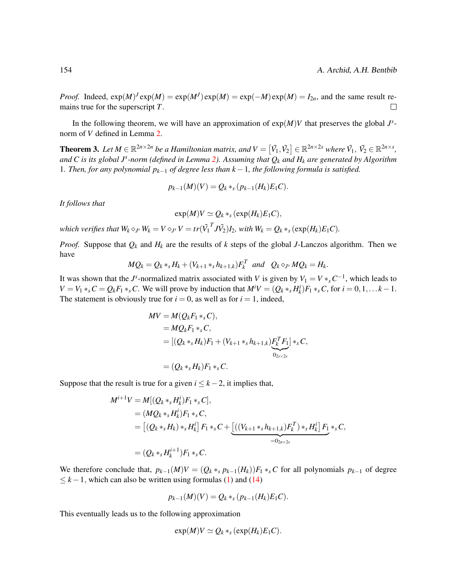*Proof.* Indeed,  $exp(M)^J exp(M) = exp(M^J) exp(M) = exp(-M) exp(M) = I_{2n}$ , and the same result remains true for the superscript *T*.  $\Box$ 

In the following theorem, we will have an approximation of  $exp(M)V$  that preserves the global  $J^s$ norm of *V* defined in Lemma [2.](#page-5-6)

**Theorem 3.** Let  $M \in \mathbb{R}^{2n \times 2n}$  be a Hamiltonian matrix, and  $V = [\tilde{V_1}, \tilde{V_2}] \in \mathbb{R}^{2n \times 2s}$  where  $\tilde{V_1}$ ,  $\tilde{V_2} \in \mathbb{R}^{2n \times s}$ , *and C is its global J<sup>s</sup> -norm (defined in Lemma [2\)](#page-5-6). Assuming that Q<sup>k</sup> and H<sup>k</sup> are generated by Algorithm* 1*. Then, for any polynomial pk*−<sup>1</sup> *of degree less than k* −1*, the following formula is satisfied.*

$$
p_{k-1}(M)(V) = Q_k *_{s}(p_{k-1}(H_k)E_1C).
$$

*It follows that*

$$
\exp(M)V \simeq Q_k *_s (\exp(H_k)E_1C),
$$

which verifies that  $W_k\diamond_{J^s}W_k=V\diamond_{J^s}V=tr(\tilde{V_1}^TJ\tilde{V_2})I_2$ , with  $W_k=Q_k*_s(\exp(H_k)E_1C).$ 

*Proof.* Suppose that  $Q_k$  and  $H_k$  are the results of  $k$  steps of the global *J*-Lanczos algorithm. Then we have

$$
MQ_k = Q_k *_s H_k + (V_{k+1} *_s h_{k+1,k}) F_k^T \quad and \quad Q_k \diamond_{J^s} MQ_k = H_k.
$$

It was shown that the *J*<sup>s</sup>-normalized matrix associated with *V* is given by  $V_1 = V *_s C^{-1}$ , which leads to  $V = V_1 *_{s} C = Q_{k} F_1 *_{s} C$ . We will prove by induction that  $M^{i} V = (Q_{k} *_{s} H_{k}^{i}) F_1 *_{s} C$ , for  $i = 0, 1, ... k - 1$ . The statement is obviously true for  $i = 0$ , as well as for  $i = 1$ , indeed,

$$
MV = M(Q_kF_1 *_s C),
$$
  
=  $MQ_kF_1 *_s C,$   
=  $[(Q_k *_s H_k)F_1 + (V_{k+1} *_s h_{k+1,k})F_k^T F_1] *_s C,$   
=  $(Q_k *_s H_k)F_1 *_s C.$ 

Suppose that the result is true for a given  $i \leq k - 2$ , it implies that,

$$
M^{i+1}V = M[(Q_k *_s H_k^i)F_1 *_s C],
$$
  
=  $(MQ_k *_s H_k^i)F_1 *_s C,$   
=  $[(Q_k *_s H_k) *_s H_k^i] F_1 *_s C + \underbrace{[((V_{k+1} *_s h_{k+1,k})F_k^T) *_s H_k^i] F_1 *_s C},$   
=  $(Q_k *_s H_k^{i+1})F_1 *_s C.$ 

We therefore conclude that,  $p_{k-1}(M)V = (Q_k *_s p_{k-1}(H_k))F_1 *_s C$  for all polynomials  $p_{k-1}$  of degree  $\leq k-1$ , which can also be written using formulas [\(1\)](#page-4-0) and [\(14\)](#page-8-3)

$$
p_{k-1}(M)(V) = Q_k *_{s}(p_{k-1}(H_k)E_1C).
$$

This eventually leads us to the following approximation

$$
\exp(M)V \simeq Q_k *_s (\exp(H_k)E_1C).
$$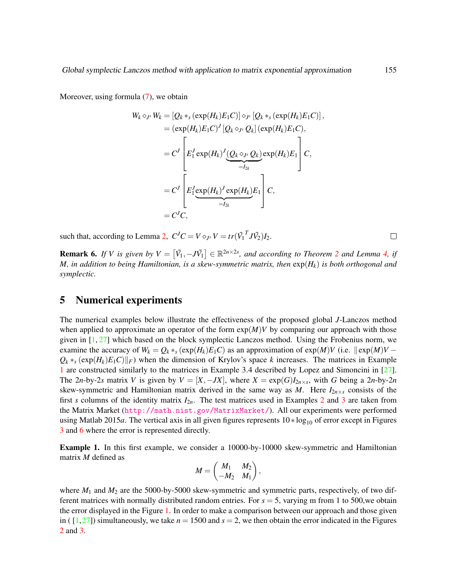Moreover, using formula  $(7)$ , we obtain

$$
W_k \diamond_{J^s} W_k = [Q_k *_s (\exp(H_k)E_1C)] \diamond_{J^s} [Q_k *_s (\exp(H_k)E_1C)],
$$
  
\n
$$
= (\exp(H_k)E_1C)^J [Q_k \diamond_{J^s} Q_k] (\exp(H_k)E_1C),
$$
  
\n
$$
= C^J \left[E_1^J \exp(H_k)^J \underbrace{(Q_k \diamond_{J^s} Q_k)}_{=I_{2k}} \exp(H_k)E_1\right]C,
$$
  
\n
$$
= C^J \left[E_1^J \underbrace{\exp(H_k)^J \exp(H_k)}_{=I_{2k}} E_1\right]C,
$$
  
\n
$$
= C^J C,
$$

such that, according to Lemma [2,](#page-5-6)  $C^{J}C = V \diamond_{J^{s}} V = tr(\tilde{V}_{1}^{T} J \tilde{V}_{2}) I_{2}$ .

**Remark 6.** If V is given by  $V = [\tilde{V}_1, -J\tilde{V}_1] \in \mathbb{R}^{2n \times 2s}$  $V = [\tilde{V}_1, -J\tilde{V}_1] \in \mathbb{R}^{2n \times 2s}$  $V = [\tilde{V}_1, -J\tilde{V}_1] \in \mathbb{R}^{2n \times 2s}$ , and according to Theorem 2 and Lemma [4,](#page-10-1) if *M, in addition to being Hamiltonian, is a skew-symmetric matrix, then*  $\exp(H_k)$  *is both orthogonal and symplectic.*

## <span id="page-12-0"></span>5 Numerical experiments

The numerical examples below illustrate the effectiveness of the proposed global *J*-Lanczos method when applied to approximate an operator of the form  $exp(M)V$  by comparing our approach with those given in  $[1, 27]$  $[1, 27]$  $[1, 27]$  which based on the block symplectic Lanczos method. Using the Frobenius norm, we examine the accuracy of  $W_k = Q_k *_{s} (\exp(H_k) E_1 C)$  as an approximation of  $\exp(M)V$  (i.e.  $\|\exp(M)V - \pi\|$  $Q_k *_{s} (\exp(H_k) E_1 C) ||_F$ ) when the dimension of Krylov's space *k* increases. The matrices in Example [1](#page-12-1) are constructed similarly to the matrices in Example 3.4 described by Lopez and Simoncini in [\[27\]](#page-16-14). The 2*n*-by-2*s* matrix *V* is given by  $V = [X, -JX]$ , where  $X = \exp(G)I_{2n \times s}$ , with *G* being a 2*n*-by-2*n* skew-symmetric and Hamiltonian matrix derived in the same way as *M*. Here  $I_{2n\times s}$  consists of the first *s* columns of the identity matrix  $I_{2n}$  $I_{2n}$  $I_{2n}$ . The test matrices used in Examples 2 and [3](#page-14-1) are taken from the Matrix Market (<http://math.nist.gov/MatrixMarket/>). All our experiments were performed using Matlab 2015*a*. The vertical axis in all given figures represents 10 ∗ log<sub>10</sub> of error except in Figures [3](#page-13-0) and [6](#page-13-1) where the error is represented directly.

<span id="page-12-1"></span>Example 1. In this first example, we consider a 10000-by-10000 skew-symmetric and Hamiltonian matrix *M* defined as

$$
M=\begin{pmatrix}M_1&M_2\\-M_2&M_1\end{pmatrix},
$$

where  $M_1$  and  $M_2$  are the 5000-by-5000 skew-symmetric and symmetric parts, respectively, of two different matrices with normally distributed random entries. For *s* = 5, varying m from 1 to 500,we obtain the error displayed in the Figure [1.](#page-13-2) In order to make a comparison between our approach and those given in ( $[1,27]$  $[1,27]$ ) simultaneously, we take  $n = 1500$  and  $s = 2$ , we then obtain the error indicated in the Figures [2](#page-13-3) and [3.](#page-13-0)

 $\Box$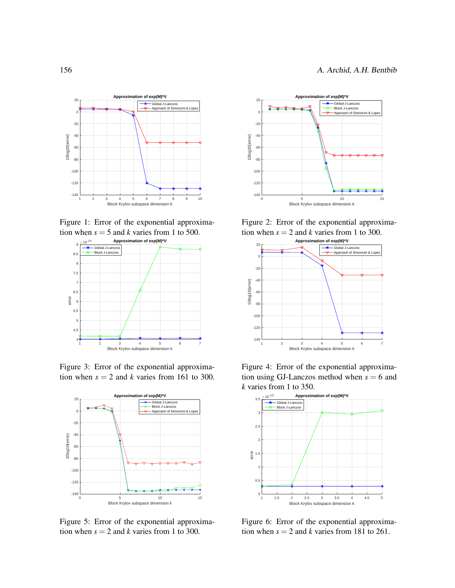



<span id="page-13-2"></span>

<span id="page-13-0"></span>Figure 3: Error of the exponential approximation when  $s = 2$  and *k* varies from 161 to 300.



<span id="page-13-5"></span>Figure 5: Error of the exponential approximation when  $s = 2$  and *k* varies from 1 to 300.



<span id="page-13-3"></span>Figure 2: Error of the exponential approximation when  $s = 2$  and  $k$  varies from 1 to 300.



<span id="page-13-4"></span>Figure 4: Error of the exponential approximation using GJ-Lanczos method when  $s = 6$  and *k* varies from 1 to 350.



<span id="page-13-1"></span>Figure 6: Error of the exponential approximation when  $s = 2$  and *k* varies from 181 to 261.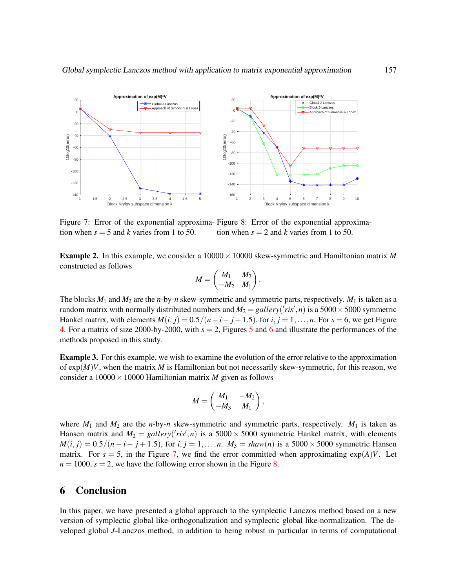

<span id="page-14-2"></span>Figure 7: Error of the exponential approxima- Figure 8: Error of the exponential approximation when  $s = 5$  and *k* varies from 1 to 50. tion when  $s = 2$  and *k* varies from 1 to 50.

<span id="page-14-0"></span>Example 2. In this example, we consider a 10000×10000 skew-symmetric and Hamiltonian matrix *M* constructed as follows

<span id="page-14-3"></span>
$$
M = \begin{pmatrix} M_1 & M_2 \\ -M_2 & M_1 \end{pmatrix}.
$$

The blocks  $M_1$  and  $M_2$  are the *n*-by-*n* skew-symmetric and symmetric parts, respectively.  $M_1$  is taken as a random matrix with normally distributed numbers and  $M_2 = \text{gall} \text{ery}(^\prime \text{ris}', n)$  is a 5000  $\times$  5000 symmetric Hankel matrix, with elements  $M(i, j) = 0.5/(n-i-j+1.5)$ , for  $i, j = 1, \ldots, n$ . For  $s = 6$ , we get Figure [4.](#page-13-4) For a matrix of size 2000-by-2000, with *s* = 2, Figures [5](#page-13-5) and [6](#page-13-1) and illustrate the performances of the methods proposed in this study.

<span id="page-14-1"></span>Example 3. For this example, we wish to examine the evolution of the error relative to the approximation of  $exp(M)V$ , when the matrix *M* is Hamiltonian but not necessarily skew-symmetric, for this reason, we consider a  $10000 \times 10000$  Hamiltonian matrix *M* given as follows

$$
M=\begin{pmatrix} M_1 & -M_2 \\ -M_3 & M_1 \end{pmatrix},
$$

where  $M_1$  and  $M_2$  are the *n*-by-*n* skew-symmetric and symmetric parts, respectively.  $M_1$  is taken as Hansen matrix and  $M_2 = \text{gallery}('ris', n)$  is a 5000 × 5000 symmetric Hankel matrix, with elements  $M(i, j) = 0.5/(n - i - j + 1.5)$ , for  $i, j = 1, ..., n$ .  $M_3 = \text{shaw}(n)$  is a 5000 × 5000 symmetric Hansen matrix. For  $s = 5$ , in the Figure [7,](#page-14-2) we find the error committed when approximating  $exp(A)V$ . Let  $n = 1000$ ,  $s = 2$ , we have the following error shown in the Figure [8.](#page-14-3)

## 6 Conclusion

In this paper, we have presented a global approach to the symplectic Lanczos method based on a new version of symplectic global like-orthogonalization and symplectic global like-normalization. The developed global *J*-Lanczos method, in addition to being robust in particular in terms of computational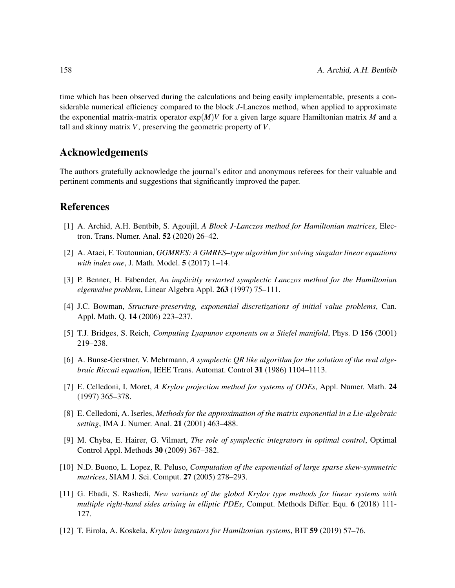time which has been observed during the calculations and being easily implementable, presents a considerable numerical efficiency compared to the block *J*-Lanczos method, when applied to approximate the exponential matrix-matrix operator  $exp(M)V$  for a given large square Hamiltonian matrix M and a tall and skinny matrix *V*, preserving the geometric property of *V*.

## Acknowledgements

The authors gratefully acknowledge the journal's editor and anonymous referees for their valuable and pertinent comments and suggestions that significantly improved the paper.

## References

- <span id="page-15-3"></span>[1] A. Archid, A.H. Bentbib, S. Agoujil, *A Block J-Lanczos method for Hamiltonian matrices*, Electron. Trans. Numer. Anal. 52 (2020) 26–42.
- <span id="page-15-0"></span>[2] A. Ataei, F. Toutounian, *GGMRES: A GMRES–type algorithm for solving singular linear equations with index one*, J. Math. Model. 5 (2017) 1–14.
- <span id="page-15-4"></span>[3] P. Benner, H. Fabender, *An implicitly restarted symplectic Lanczos method for the Hamiltonian eigenvalue problem*, Linear Algebra Appl. 263 (1997) 75–111.
- <span id="page-15-5"></span>[4] J.C. Bowman, *Structure-preserving, exponential discretizations of initial value problems*, Can. Appl. Math. Q. 14 (2006) 223–237.
- <span id="page-15-11"></span>[5] T.J. Bridges, S. Reich, *Computing Lyapunov exponents on a Stiefel manifold*, Phys. D 156 (2001) 219–238.
- <span id="page-15-2"></span>[6] A. Bunse-Gerstner, V. Mehrmann, *A symplectic QR like algorithm for the solution of the real algebraic Riccati equation*, IEEE Trans. Automat. Control 31 (1986) 1104–1113.
- <span id="page-15-6"></span>[7] E. Celledoni, I. Moret, *A Krylov projection method for systems of ODEs*, Appl. Numer. Math. 24 (1997) 365–378.
- <span id="page-15-7"></span>[8] E. Celledoni, A. Iserles, *Methods for the approximation of the matrix exponential in a Lie-algebraic setting*, IMA J. Numer. Anal. 21 (2001) 463–488.
- <span id="page-15-10"></span>[9] M. Chyba, E. Hairer, G. Vilmart, *The role of symplectic integrators in optimal control*, Optimal Control Appl. Methods 30 (2009) 367–382.
- <span id="page-15-8"></span>[10] N.D. Buono, L. Lopez, R. Peluso, *Computation of the exponential of large sparse skew-symmetric matrices*, SIAM J. Sci. Comput. 27 (2005) 278–293.
- <span id="page-15-1"></span>[11] G. Ebadi, S. Rashedi, *New variants of the global Krylov type methods for linear systems with multiple right-hand sides arising in elliptic PDEs*, Comput. Methods Differ. Equ. 6 (2018) 111- 127.
- <span id="page-15-9"></span>[12] T. Eirola, A. Koskela, *Krylov integrators for Hamiltonian systems*, BIT 59 (2019) 57–76.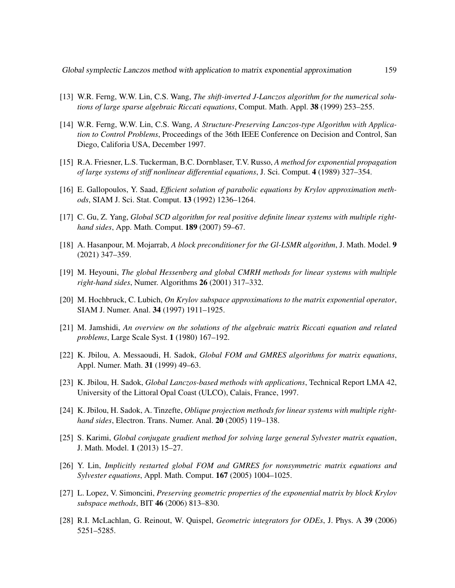- <span id="page-16-8"></span>[13] W.R. Ferng, W.W. Lin, C.S. Wang, *The shift-inverted J-Lanczos algorithm for the numerical solutions of large sparse algebraic Riccati equations*, Comput. Math. Appl. 38 (1999) 253–255.
- <span id="page-16-9"></span>[14] W.R. Ferng, W.W. Lin, C.S. Wang, *A Structure-Preserving Lanczos-type Algorithm with Application to Control Problems*, Proceedings of the 36th IEEE Conference on Decision and Control, San Diego, Califoria USA, December 1997.
- <span id="page-16-10"></span>[15] R.A. Friesner, L.S. Tuckerman, B.C. Dornblaser, T.V. Russo, *A method for exponential propagation of large systems of stiff nonlinear differential equations*, J. Sci. Comput. 4 (1989) 327–354.
- <span id="page-16-11"></span>[16] E. Gallopoulos, Y. Saad, *Efficient solution of parabolic equations by Krylov approximation methods*, SIAM J. Sci. Stat. Comput. 13 (1992) 1236–1264.
- <span id="page-16-4"></span>[17] C. Gu, Z. Yang, *Global SCD algorithm for real positive definite linear systems with multiple righthand sides*, App. Math. Comput. 189 (2007) 59–67.
- [18] A. Hasanpour, M. Mojarrab, *A block preconditioner for the Gl-LSMR algorithm*, J. Math. Model. 9 (2021) 347–359.
- <span id="page-16-2"></span>[19] M. Heyouni, *The global Hessenberg and global CMRH methods for linear systems with multiple right-hand sides*, Numer. Algorithms 26 (2001) 317–332.
- <span id="page-16-12"></span>[20] M. Hochbruck, C. Lubich, *On Krylov subspace approximations to the matrix exponential operator*, SIAM J. Numer. Anal. 34 (1997) 1911–1925.
- <span id="page-16-7"></span>[21] M. Jamshidi, *An overview on the solutions of the algebraic matrix Riccati equation and related problems*, Large Scale Syst. 1 (1980) 167–192.
- <span id="page-16-0"></span>[22] K. Jbilou, A. Messaoudi, H. Sadok, *Global FOM and GMRES algorithms for matrix equations*, Appl. Numer. Math. 31 (1999) 49–63.
- <span id="page-16-1"></span>[23] K. Jbilou, H. Sadok, *Global Lanczos-based methods with applications*, Technical Report LMA 42, University of the Littoral Opal Coast (ULCO), Calais, France, 1997.
- <span id="page-16-3"></span>[24] K. Jbilou, H. Sadok, A. Tinzefte, *Oblique projection methods for linear systems with multiple righthand sides*, Electron. Trans. Numer. Anal. 20 (2005) 119–138.
- <span id="page-16-5"></span>[25] S. Karimi, *Global conjugate gradient method for solving large general Sylvester matrix equation*, J. Math. Model. 1 (2013) 15–27.
- <span id="page-16-6"></span>[26] Y. Lin, *Implicitly restarted global FOM and GMRES for nonsymmetric matrix equations and Sylvester equations*, Appl. Math. Comput. 167 (2005) 1004–1025.
- <span id="page-16-14"></span>[27] L. Lopez, V. Simoncini, *Preserving geometric properties of the exponential matrix by block Krylov subspace methods*, BIT 46 (2006) 813–830.
- <span id="page-16-13"></span>[28] R.I. McLachlan, G. Reinout, W. Quispel, *Geometric integrators for ODEs*, J. Phys. A 39 (2006) 5251–5285.